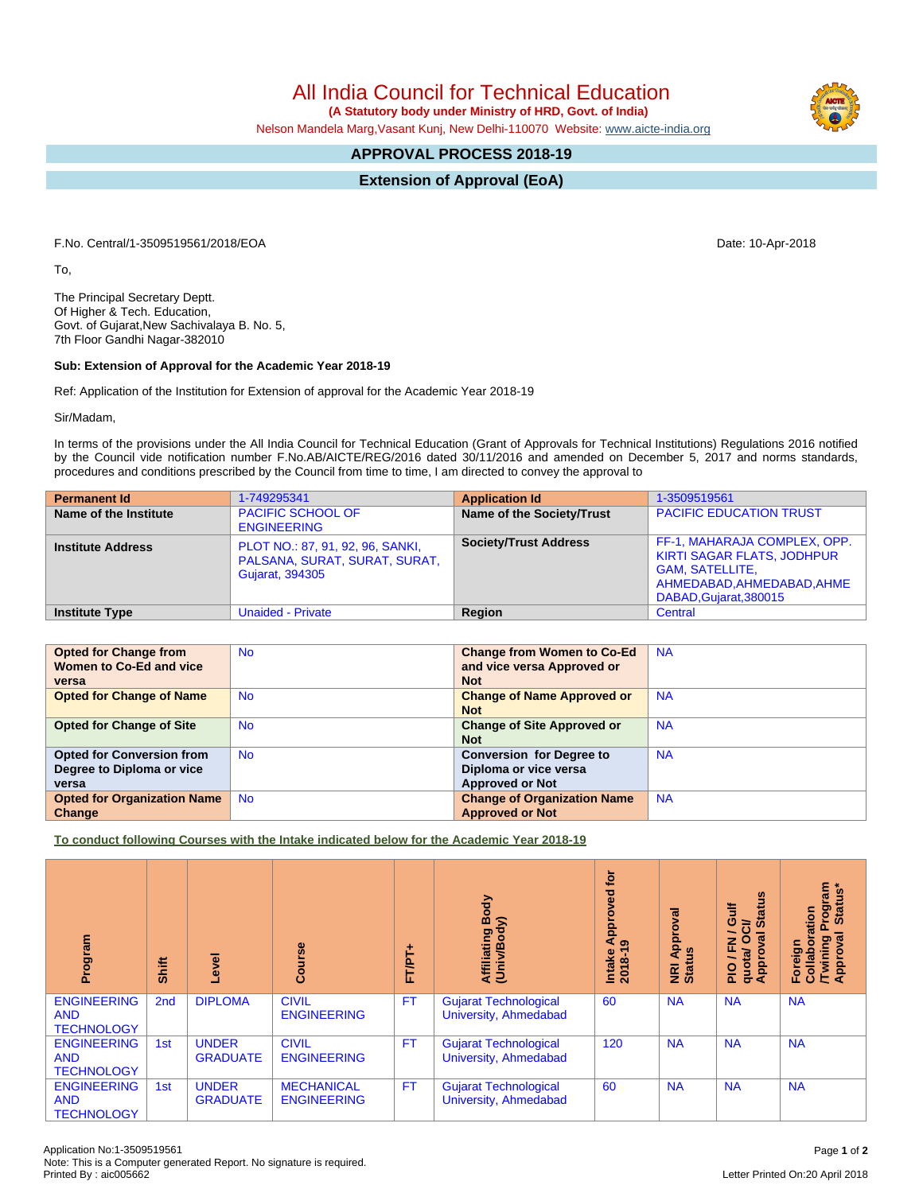All India Council for Technical Education

 **(A Statutory body under Ministry of HRD, Govt. of India)**

Nelson Mandela Marg,Vasant Kunj, New Delhi-110070 Website: [www.aicte-india.org](http://www.aicte-india.org)

## **APPROVAL PROCESS 2018-19**

**Extension of Approval (EoA)**

F.No. Central/1-3509519561/2018/EOA Date: 10-Apr-2018

To,

The Principal Secretary Deptt. Of Higher & Tech. Education, Govt. of Gujarat,New Sachivalaya B. No. 5, 7th Floor Gandhi Nagar-382010

## **Sub: Extension of Approval for the Academic Year 2018-19**

Ref: Application of the Institution for Extension of approval for the Academic Year 2018-19

Sir/Madam,

In terms of the provisions under the All India Council for Technical Education (Grant of Approvals for Technical Institutions) Regulations 2016 notified by the Council vide notification number F.No.AB/AICTE/REG/2016 dated 30/11/2016 and amended on December 5, 2017 and norms standards, procedures and conditions prescribed by the Council from time to time, I am directed to convey the approval to

| <b>Permanent Id</b>      | 1-749295341                                                                                 | <b>Application Id</b>        | 1-3509519561                                                                                                                                        |
|--------------------------|---------------------------------------------------------------------------------------------|------------------------------|-----------------------------------------------------------------------------------------------------------------------------------------------------|
| Name of the Institute    | <b>PACIFIC SCHOOL OF</b><br><b>ENGINEERING</b>                                              | Name of the Society/Trust    | <b>PACIFIC EDUCATION TRUST</b>                                                                                                                      |
| <b>Institute Address</b> | PLOT NO.: 87, 91, 92, 96, SANKI,<br>PALSANA, SURAT, SURAT, SURAT,<br><b>Gujarat, 394305</b> | <b>Society/Trust Address</b> | FF-1, MAHARAJA COMPLEX, OPP.<br><b>KIRTI SAGAR FLATS, JODHPUR</b><br><b>GAM, SATELLITE,</b><br>AHMEDABAD, AHMEDABAD, AHME<br>DABAD, Gujarat, 380015 |
| <b>Institute Type</b>    | <b>Unaided - Private</b>                                                                    | Region                       | Central                                                                                                                                             |

| <b>Opted for Change from</b>       | <b>No</b> | <b>Change from Women to Co-Ed</b>  | <b>NA</b> |
|------------------------------------|-----------|------------------------------------|-----------|
| Women to Co-Ed and vice            |           | and vice versa Approved or         |           |
| versa                              |           | <b>Not</b>                         |           |
| <b>Opted for Change of Name</b>    | <b>No</b> | <b>Change of Name Approved or</b>  | <b>NA</b> |
|                                    |           | <b>Not</b>                         |           |
| <b>Opted for Change of Site</b>    | <b>No</b> | <b>Change of Site Approved or</b>  | <b>NA</b> |
|                                    |           | <b>Not</b>                         |           |
| <b>Opted for Conversion from</b>   | <b>No</b> | <b>Conversion for Degree to</b>    | <b>NA</b> |
| Degree to Diploma or vice          |           | Diploma or vice versa              |           |
| versa                              |           | <b>Approved or Not</b>             |           |
| <b>Opted for Organization Name</b> | <b>No</b> | <b>Change of Organization Name</b> | <b>NA</b> |
| Change                             |           | <b>Approved or Not</b>             |           |

**To conduct following Courses with the Intake indicated below for the Academic Year 2018-19**

| Program                                               | Shift           | Level                           | rse<br>ပြ                               | 广<br>FTPT+ | Body<br>Affiliating Book<br>(Univ/Body)               | <b>jo</b><br>ved<br>Approv<br>ၜ<br>$2018 - 1$<br>Intake | ड़<br>Approv<br><b>NRI Ap</b><br>Status | g<br>Gulf<br>Ī<br>≃<br>ÛΩ<br>∽<br>ह्र<br>O<br>준<br>quota/<br>Approv<br>$\frac{1}{2}$ | Program<br>Status*<br>oration<br>ख़<br>/Twining<br>Approval<br>Foreign<br>Collal |
|-------------------------------------------------------|-----------------|---------------------------------|-----------------------------------------|------------|-------------------------------------------------------|---------------------------------------------------------|-----------------------------------------|--------------------------------------------------------------------------------------|----------------------------------------------------------------------------------|
| <b>ENGINEERING</b><br><b>AND</b><br><b>TECHNOLOGY</b> | 2 <sub>nd</sub> | <b>DIPLOMA</b>                  | <b>CIVIL</b><br><b>ENGINEERING</b>      | <b>FT</b>  | Gujarat Technological<br>University, Ahmedabad        | 60                                                      | <b>NA</b>                               | <b>NA</b>                                                                            | <b>NA</b>                                                                        |
| <b>ENGINEERING</b><br><b>AND</b><br><b>TECHNOLOGY</b> | 1st             | <b>UNDER</b><br><b>GRADUATE</b> | <b>CIVIL</b><br><b>ENGINEERING</b>      | <b>FT</b>  | <b>Gujarat Technological</b><br>University, Ahmedabad | 120                                                     | <b>NA</b>                               | <b>NA</b>                                                                            | <b>NA</b>                                                                        |
| <b>ENGINEERING</b><br><b>AND</b><br><b>TECHNOLOGY</b> | 1st             | <b>UNDER</b><br><b>GRADUATE</b> | <b>MECHANICAL</b><br><b>ENGINEERING</b> | <b>FT</b>  | <b>Gujarat Technological</b><br>University, Ahmedabad | 60                                                      | <b>NA</b>                               | <b>NA</b>                                                                            | <b>NA</b>                                                                        |